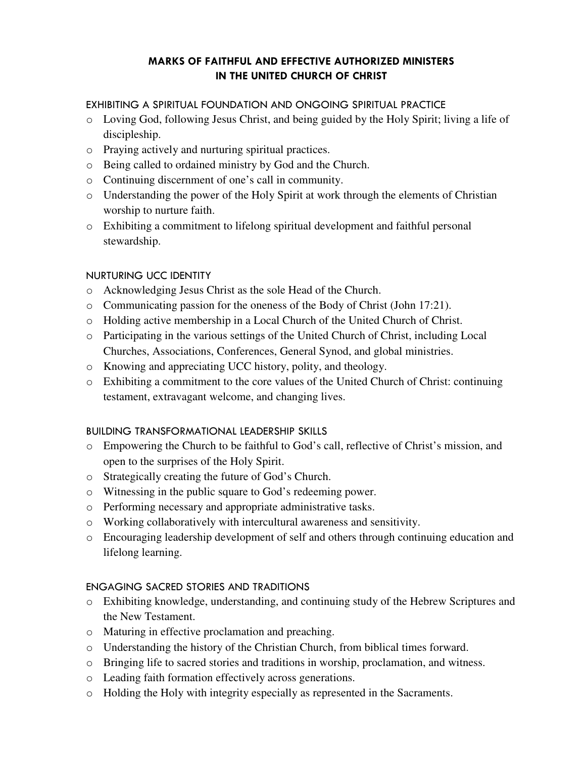# MARKS OF FAITHFUL AND EFFECTIVE AUTHORIZED MINISTERS IN THE UNITED CHURCH OF CHRIST

### EXHIBITING A SPIRITUAL FOUNDATION AND ONGOING SPIRITUAL PRACTICE

- o Loving God, following Jesus Christ, and being guided by the Holy Spirit; living a life of discipleship.
- o Praying actively and nurturing spiritual practices.
- o Being called to ordained ministry by God and the Church.
- o Continuing discernment of one's call in community.
- o Understanding the power of the Holy Spirit at work through the elements of Christian worship to nurture faith.
- o Exhibiting a commitment to lifelong spiritual development and faithful personal stewardship.

# NURTURING UCC IDENTITY

- o Acknowledging Jesus Christ as the sole Head of the Church.
- o Communicating passion for the oneness of the Body of Christ (John 17:21).
- o Holding active membership in a Local Church of the United Church of Christ.
- o Participating in the various settings of the United Church of Christ, including Local Churches, Associations, Conferences, General Synod, and global ministries.
- o Knowing and appreciating UCC history, polity, and theology.
- o Exhibiting a commitment to the core values of the United Church of Christ: continuing testament, extravagant welcome, and changing lives.

# BUILDING TRANSFORMATIONAL LEADERSHIP SKILLS

- o Empowering the Church to be faithful to God's call, reflective of Christ's mission, and open to the surprises of the Holy Spirit.
- o Strategically creating the future of God's Church.
- o Witnessing in the public square to God's redeeming power.
- o Performing necessary and appropriate administrative tasks.
- o Working collaboratively with intercultural awareness and sensitivity.
- o Encouraging leadership development of self and others through continuing education and lifelong learning.

# ENGAGING SACRED STORIES AND TRADITIONS

- o Exhibiting knowledge, understanding, and continuing study of the Hebrew Scriptures and the New Testament.
- o Maturing in effective proclamation and preaching.
- o Understanding the history of the Christian Church, from biblical times forward.
- o Bringing life to sacred stories and traditions in worship, proclamation, and witness.
- o Leading faith formation effectively across generations.
- o Holding the Holy with integrity especially as represented in the Sacraments.